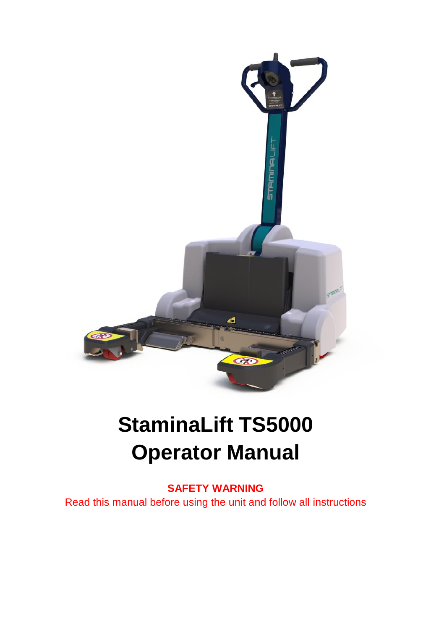

# **StaminaLift TS5000 Operator Manual**

**SAFETY WARNING** Read this manual before using the unit and follow all instructions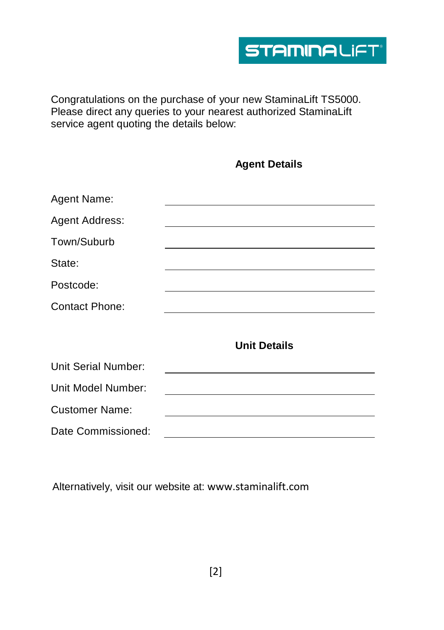Congratulations on the purchase of your new StaminaLift TS5000. Please direct any queries to your nearest authorized StaminaLift service agent quoting the details below:

|                       | <b>Agent Details</b>                                                                                                    |
|-----------------------|-------------------------------------------------------------------------------------------------------------------------|
| Agent Name:           |                                                                                                                         |
| Agent Address:        |                                                                                                                         |
| Town/Suburb           | <u> 1980 - Jan Sterling and Sterling and Sterling and Sterling and Sterling and Sterling and Sterling and Sterling</u>  |
| State:                |                                                                                                                         |
| Postcode:             |                                                                                                                         |
| <b>Contact Phone:</b> | the control of the control of the control of the control of the control of the control of the control of the control of |
|                       | <b>Unit Details</b>                                                                                                     |
| Unit Serial Number:   |                                                                                                                         |
| Unit Model Number:    |                                                                                                                         |
| <b>Customer Name:</b> |                                                                                                                         |
| Date Commissioned:    |                                                                                                                         |

Alternatively, visit our website at: www.staminalift.com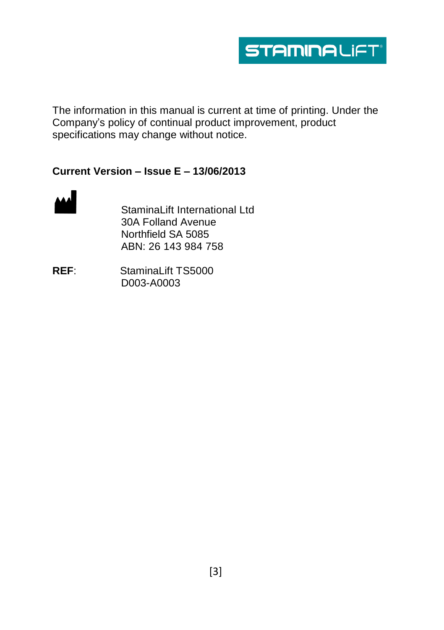

The information in this manual is current at time of printing. Under the Company's policy of continual product improvement, product specifications may change without notice.

#### **Current Version – Issue E – 13/06/2013**



StaminaLift International Ltd 30A Folland Avenue Northfield SA 5085 ABN: 26 143 984 758

**REF**: StaminaLift TS5000 D003-A0003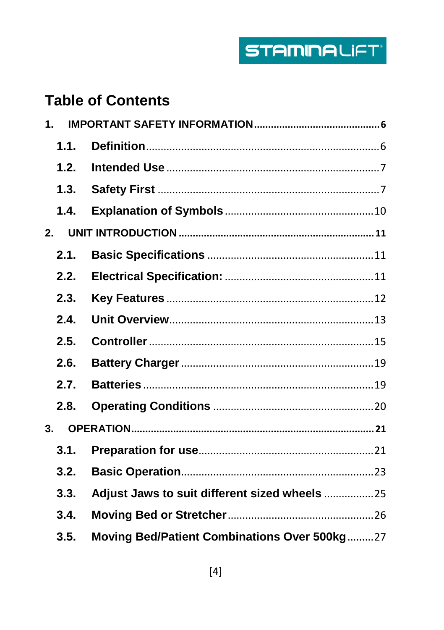# **Table of Contents**

| $\mathbf 1$    |                                               |
|----------------|-----------------------------------------------|
| 1.1.           |                                               |
| 1.2.           |                                               |
| 1.3.           |                                               |
| 1.4.           |                                               |
| 2.             |                                               |
| 2.1.           |                                               |
| 2.2.           |                                               |
| 2.3.           |                                               |
| 2.4.           |                                               |
| 2.5.           |                                               |
| 2.6.           |                                               |
| 2.7.           |                                               |
| 2.8.           |                                               |
| 3 <sub>l</sub> |                                               |
| 3.1.           |                                               |
| 3.2.           |                                               |
| 3.3.           | Adjust Jaws to suit different sized wheels 25 |
| 3.4.           |                                               |
| 3.5.           | Moving Bed/Patient Combinations Over 500kg27  |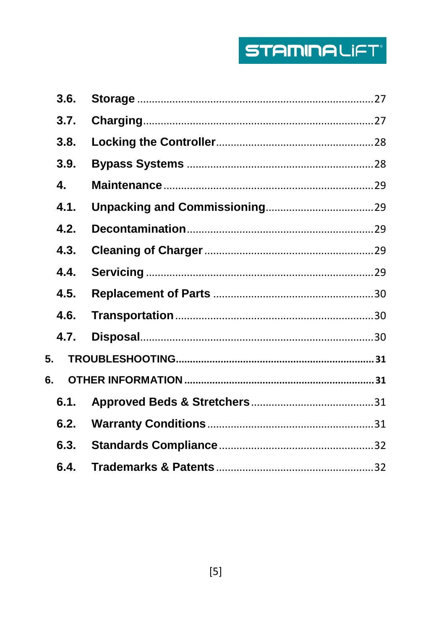# **STAMINALIFT**

|    | 3.6. |  |
|----|------|--|
|    | 3.7. |  |
|    | 3.8. |  |
|    | 3.9. |  |
|    | 4.   |  |
|    | 4.1. |  |
|    | 4.2. |  |
|    | 4.3. |  |
|    | 4.4. |  |
|    | 4.5. |  |
|    | 4.6. |  |
|    | 4.7. |  |
| 5. |      |  |
| 6. |      |  |
|    | 6.1. |  |
|    | 6.2. |  |
|    | 6.3. |  |
|    | 6.4. |  |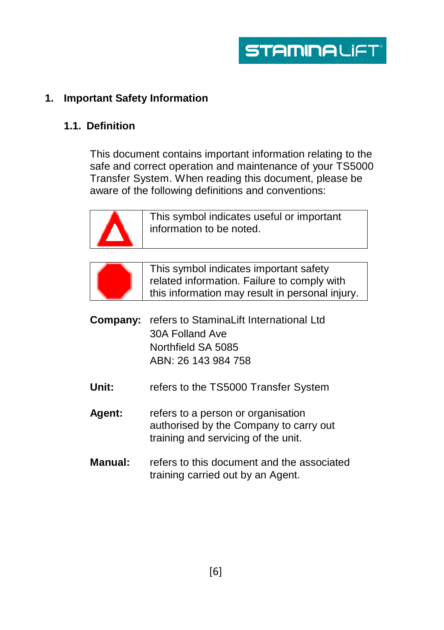# <span id="page-5-0"></span>**1. Important Safety Information**

#### <span id="page-5-1"></span>**1.1. Definition**

This document contains important information relating to the safe and correct operation and maintenance of your TS5000 Transfer System. When reading this document, please be aware of the following definitions and conventions:



This symbol indicates useful or important information to be noted.



This symbol indicates important safety related information. Failure to comply with this information may result in personal injury.

- **Company:** refers to StaminaLift International Ltd 30A Folland Ave Northfield SA 5085 ABN: 26 143 984 758
- Unit: refers to the TS5000 Transfer System
- **Agent:** refers to a person or organisation authorised by the Company to carry out training and servicing of the unit.
- **Manual:** refers to this document and the associated training carried out by an Agent.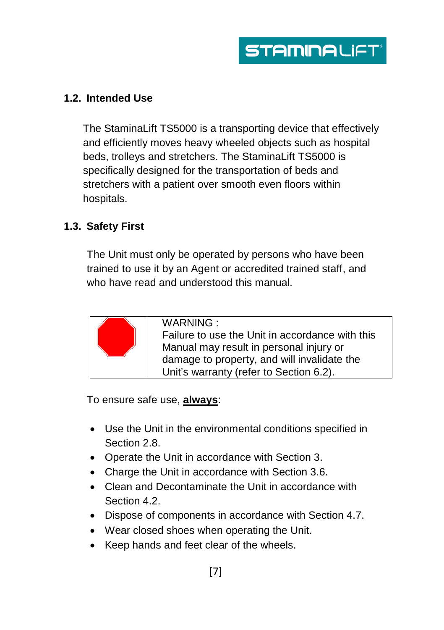#### <span id="page-6-0"></span>**1.2. Intended Use**

The StaminaLift TS5000 is a transporting device that effectively and efficiently moves heavy wheeled objects such as hospital beds, trolleys and stretchers. The StaminaLift TS5000 is specifically designed for the transportation of beds and stretchers with a patient over smooth even floors within hospitals.

#### <span id="page-6-1"></span>**1.3. Safety First**

The Unit must only be operated by persons who have been trained to use it by an Agent or accredited trained staff, and who have read and understood this manual.



WARNING : Failure to use the Unit in accordance with this Manual may result in personal injury or damage to property, and will invalidate the Unit's warranty (refer to Section 6.2).

To ensure safe use, **always**:

- Use the Unit in the environmental conditions specified in Section 2.8.
- Operate the Unit in accordance with Section 3.
- Charge the Unit in accordance with Section 3.6.
- Clean and Decontaminate the Unit in accordance with Section 4.2.
- Dispose of components in accordance with Section 4.7.
- Wear closed shoes when operating the Unit.
- Keep hands and feet clear of the wheels.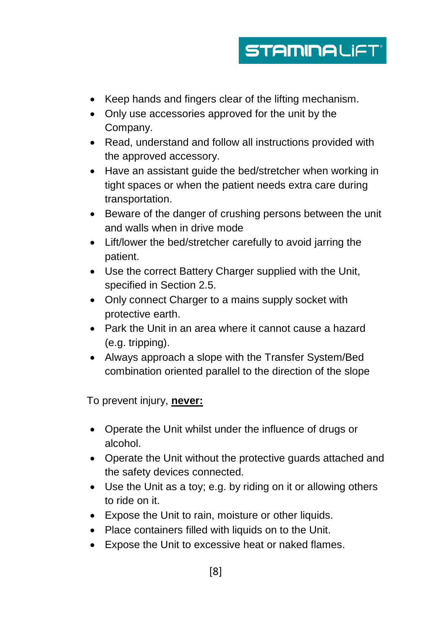# **STAMINALIFT**®

- Keep hands and fingers clear of the lifting mechanism.
- Only use accessories approved for the unit by the Company.
- Read, understand and follow all instructions provided with the approved accessory.
- Have an assistant quide the bed/stretcher when working in tight spaces or when the patient needs extra care during transportation.
- Beware of the danger of crushing persons between the unit and walls when in drive mode
- Lift/lower the bed/stretcher carefully to avoid jarring the patient.
- Use the correct Battery Charger supplied with the Unit, specified in Section 2.5.
- Only connect Charger to a mains supply socket with protective earth.
- Park the Unit in an area where it cannot cause a hazard (e.g. tripping).
- Always approach a slope with the Transfer System/Bed combination oriented parallel to the direction of the slope

To prevent injury, **never:**

- Operate the Unit whilst under the influence of drugs or alcohol.
- Operate the Unit without the protective guards attached and the safety devices connected.
- Use the Unit as a toy; e.g. by riding on it or allowing others to ride on it.
- Expose the Unit to rain, moisture or other liquids.
- Place containers filled with liquids on to the Unit.
- Expose the Unit to excessive heat or naked flames.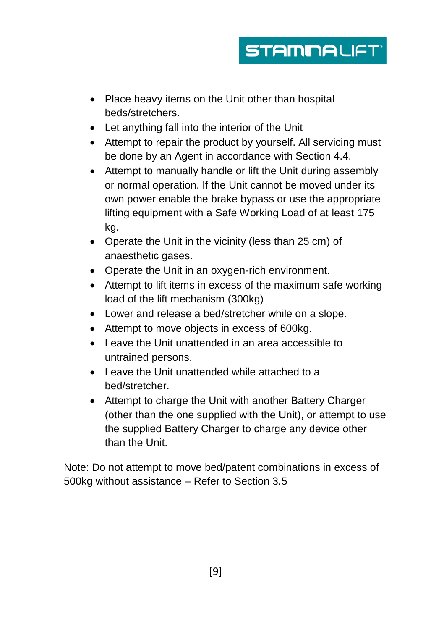# **STAMINALIFT**

- Place heavy items on the Unit other than hospital beds/stretchers.
- Let anything fall into the interior of the Unit
- Attempt to repair the product by yourself. All servicing must be done by an Agent in accordance with Section 4.4.
- Attempt to manually handle or lift the Unit during assembly or normal operation. If the Unit cannot be moved under its own power enable the brake bypass or use the appropriate lifting equipment with a Safe Working Load of at least 175 kg.
- Operate the Unit in the vicinity (less than 25 cm) of anaesthetic gases.
- Operate the Unit in an oxygen-rich environment.
- Attempt to lift items in excess of the maximum safe working load of the lift mechanism (300kg)
- Lower and release a bed/stretcher while on a slope.
- Attempt to move objects in excess of 600kg.
- Leave the Unit unattended in an area accessible to untrained persons.
- Leave the Unit unattended while attached to a bed/stretcher.
- Attempt to charge the Unit with another Battery Charger (other than the one supplied with the Unit), or attempt to use the supplied Battery Charger to charge any device other than the Unit.

Note: Do not attempt to move bed/patent combinations in excess of 500kg without assistance – Refer to Section 3.5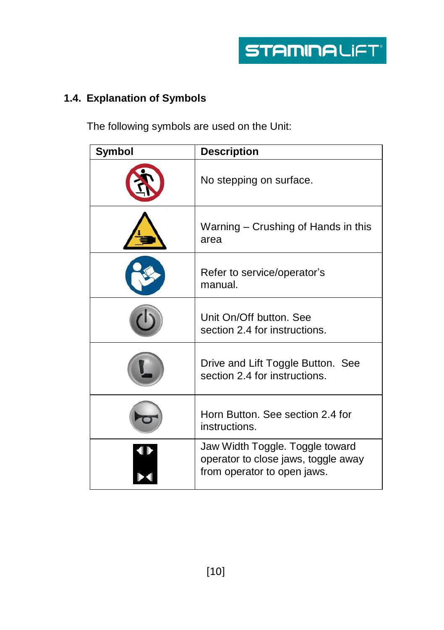# <span id="page-9-0"></span>**1.4. Explanation of Symbols**

The following symbols are used on the Unit:

| <b>Symbol</b> | <b>Description</b>                                                                                    |
|---------------|-------------------------------------------------------------------------------------------------------|
|               | No stepping on surface.                                                                               |
|               | Warning – Crushing of Hands in this<br>area                                                           |
|               | Refer to service/operator's<br>manual.                                                                |
|               | Unit On/Off button, See<br>section 2.4 for instructions.                                              |
|               | Drive and Lift Toggle Button. See<br>section 2.4 for instructions.                                    |
|               | Horn Button. See section 2.4 for<br>instructions.                                                     |
|               | Jaw Width Toggle. Toggle toward<br>operator to close jaws, toggle away<br>from operator to open jaws. |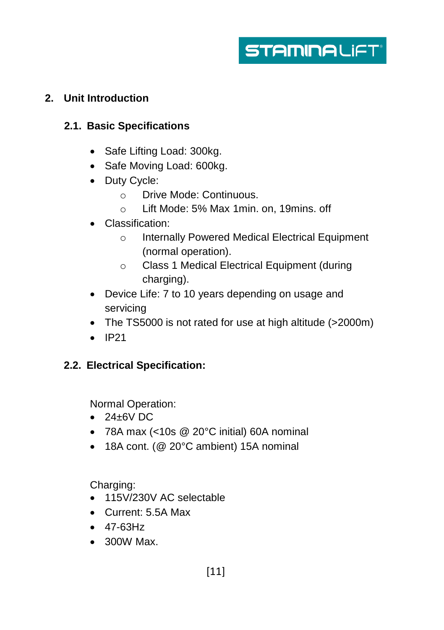**STAMINALIFT** 

# <span id="page-10-0"></span>**2. Unit Introduction**

# <span id="page-10-1"></span>**2.1. Basic Specifications**

- Safe Lifting Load: 300kg.
- Safe Moving Load: 600kg.
- Duty Cycle:
	- o Drive Mode: Continuous.
	- o Lift Mode: 5% Max 1min. on, 19mins. off
- Classification:
	- o Internally Powered Medical Electrical Equipment (normal operation).
	- o Class 1 Medical Electrical Equipment (during charging).
- Device Life: 7 to 10 years depending on usage and servicing
- The TS5000 is not rated for use at high altitude (>2000m)
- $\bullet$  IP21

#### <span id="page-10-2"></span>**2.2. Electrical Specification:**

Normal Operation:

- $\bullet$  24 $\pm$ 6V DC
- 78A max (<10s @ 20°C initial) 60A nominal
- 18A cont. (@ 20°C ambient) 15A nominal

Charging:

- 115V/230V AC selectable
- Current: 5.5A Max
- $-47-63Hz$
- 300W Max.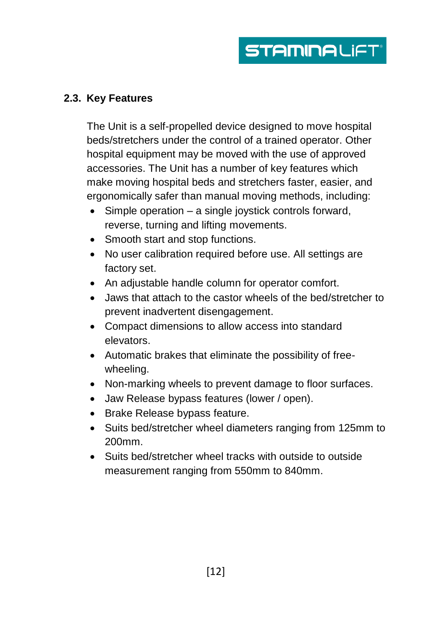# <span id="page-11-0"></span>**2.3. Key Features**

The Unit is a self-propelled device designed to move hospital beds/stretchers under the control of a trained operator. Other hospital equipment may be moved with the use of approved accessories. The Unit has a number of key features which make moving hospital beds and stretchers faster, easier, and ergonomically safer than manual moving methods, including:

- $\bullet$  Simple operation a single joystick controls forward, reverse, turning and lifting movements.
- Smooth start and stop functions.
- No user calibration required before use. All settings are factory set.
- An adjustable handle column for operator comfort.
- Jaws that attach to the castor wheels of the bed/stretcher to prevent inadvertent disengagement.
- Compact dimensions to allow access into standard elevators.
- Automatic brakes that eliminate the possibility of freewheeling.
- Non-marking wheels to prevent damage to floor surfaces.
- Jaw Release bypass features (lower / open).
- Brake Release bypass feature.
- Suits bed/stretcher wheel diameters ranging from 125mm to 200mm.
- Suits bed/stretcher wheel tracks with outside to outside measurement ranging from 550mm to 840mm.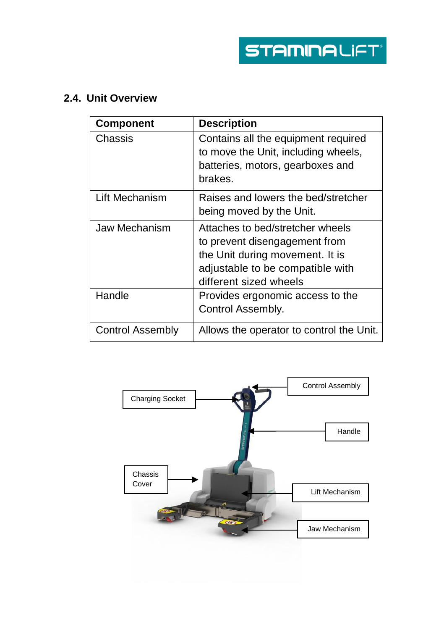# <span id="page-12-0"></span>**2.4. Unit Overview**

| <b>Component</b> | <b>Description</b>                                                                                                                                                 |
|------------------|--------------------------------------------------------------------------------------------------------------------------------------------------------------------|
| Chassis          | Contains all the equipment required<br>to move the Unit, including wheels,<br>batteries, motors, gearboxes and<br>brakes.                                          |
| Lift Mechanism   | Raises and lowers the bed/stretcher<br>being moved by the Unit.                                                                                                    |
| Jaw Mechanism    | Attaches to bed/stretcher wheels<br>to prevent disengagement from<br>the Unit during movement. It is<br>adjustable to be compatible with<br>different sized wheels |
| Handle           | Provides ergonomic access to the<br>Control Assembly.                                                                                                              |
| Control Assembly | Allows the operator to control the Unit.                                                                                                                           |

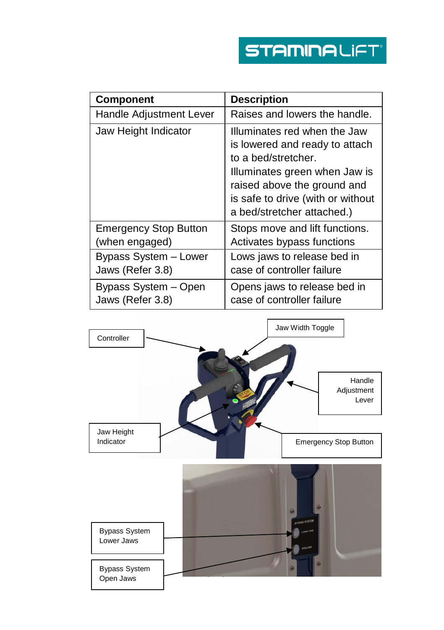| <b>Component</b>             | <b>Description</b>                                                                                                                                                                                                       |
|------------------------------|--------------------------------------------------------------------------------------------------------------------------------------------------------------------------------------------------------------------------|
| Handle Adjustment Lever      | Raises and lowers the handle.                                                                                                                                                                                            |
| Jaw Height Indicator         | Illuminates red when the Jaw<br>is lowered and ready to attach<br>to a bed/stretcher.<br>Illuminates green when Jaw is<br>raised above the ground and<br>is safe to drive (with or without<br>a bed/stretcher attached.) |
| <b>Emergency Stop Button</b> | Stops move and lift functions.                                                                                                                                                                                           |
| (when engaged)               | Activates bypass functions                                                                                                                                                                                               |
| Bypass System - Lower        | Lows jaws to release bed in                                                                                                                                                                                              |
| Jaws (Refer 3.8)             | case of controller failure                                                                                                                                                                                               |
| Bypass System - Open         | Opens jaws to release bed in                                                                                                                                                                                             |
| Jaws (Refer 3.8)             | case of controller failure                                                                                                                                                                                               |

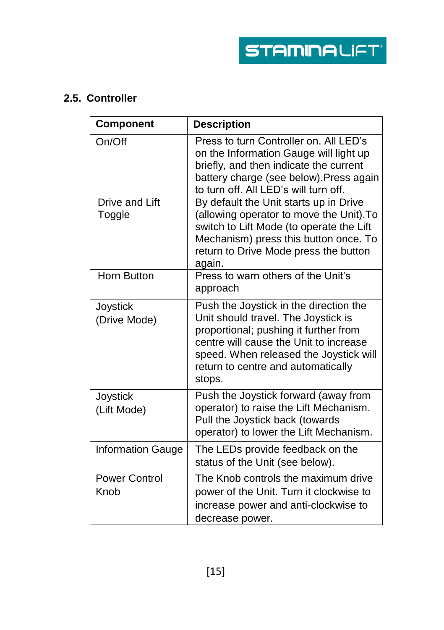# <span id="page-14-0"></span>**2.5. Controller**

| <b>Component</b>             | <b>Description</b>                                                                                                                                                                                                                                         |
|------------------------------|------------------------------------------------------------------------------------------------------------------------------------------------------------------------------------------------------------------------------------------------------------|
| On/Off                       | Press to turn Controller on. All LED's<br>on the Information Gauge will light up<br>briefly, and then indicate the current<br>battery charge (see below). Press again<br>to turn off. All LED's will turn off.                                             |
| Drive and Lift<br>Toggle     | By default the Unit starts up in Drive<br>(allowing operator to move the Unit). To<br>switch to Lift Mode (to operate the Lift<br>Mechanism) press this button once. To<br>return to Drive Mode press the button<br>again.                                 |
| Horn Button                  | Press to warn others of the Unit's<br>approach                                                                                                                                                                                                             |
| Joystick<br>(Drive Mode)     | Push the Joystick in the direction the<br>Unit should travel. The Joystick is<br>proportional; pushing it further from<br>centre will cause the Unit to increase<br>speed. When released the Joystick will<br>return to centre and automatically<br>stops. |
| Joystick<br>(Lift Mode)      | Push the Joystick forward (away from<br>operator) to raise the Lift Mechanism.<br>Pull the Joystick back (towards<br>operator) to lower the Lift Mechanism.                                                                                                |
| <b>Information Gauge</b>     | The LEDs provide feedback on the<br>status of the Unit (see below).                                                                                                                                                                                        |
| <b>Power Control</b><br>Knob | The Knob controls the maximum drive<br>power of the Unit. Turn it clockwise to<br>increase power and anti-clockwise to<br>decrease power.                                                                                                                  |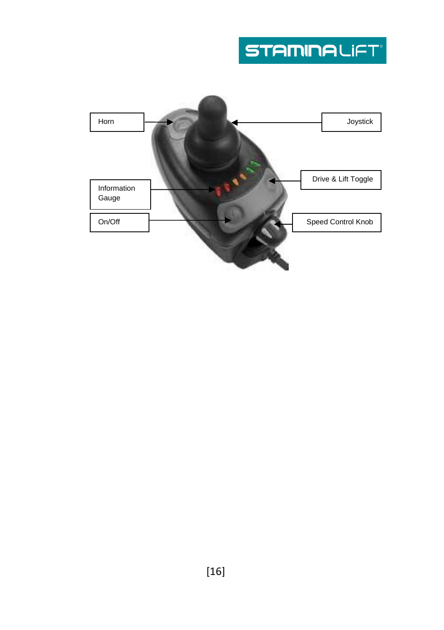# **STAMINALIFT**

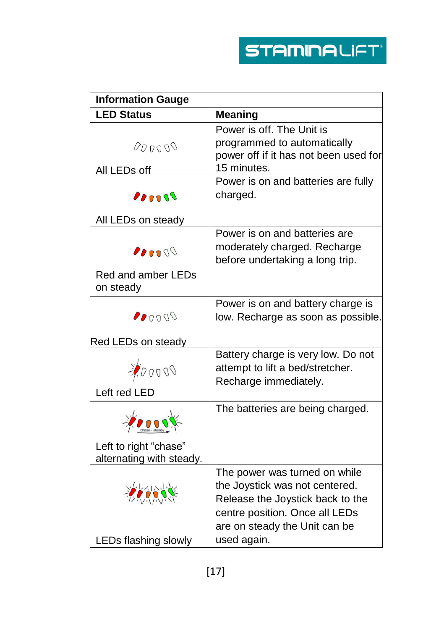| <b>Information Gauge</b> |                                       |
|--------------------------|---------------------------------------|
| <b>LED Status</b>        | <b>Meaning</b>                        |
|                          | Power is off. The Unit is             |
| 000000                   | programmed to automatically           |
|                          | power off if it has not been used for |
| All LEDs off             | 15 minutes.                           |
|                          | Power is on and batteries are fully   |
| $P_{P}$                  | charged.                              |
| All LEDs on steady       |                                       |
|                          | Power is on and batteries are         |
| 20000                    | moderately charged. Recharge          |
|                          | before undertaking a long trip.       |
| Red and amber LEDs       |                                       |
| on steady                |                                       |
|                          | Power is on and battery charge is     |
| 00000                    | low. Recharge as soon as possible.    |
| Red LEDs on steady       |                                       |
|                          | Battery charge is very low. Do not    |
| 200000                   | attempt to lift a bed/stretcher.      |
| Left red LED             | Recharge immediately.                 |
|                          |                                       |
|                          | The batteries are being charged.      |
| Left to right "chase"    |                                       |
| alternating with steady. |                                       |
|                          | The power was turned on while         |
|                          | the Joystick was not centered.        |
|                          | Release the Joystick back to the      |
|                          | centre position. Once all LEDs        |
|                          | are on steady the Unit can be         |
| LEDs flashing slowly     | used again.                           |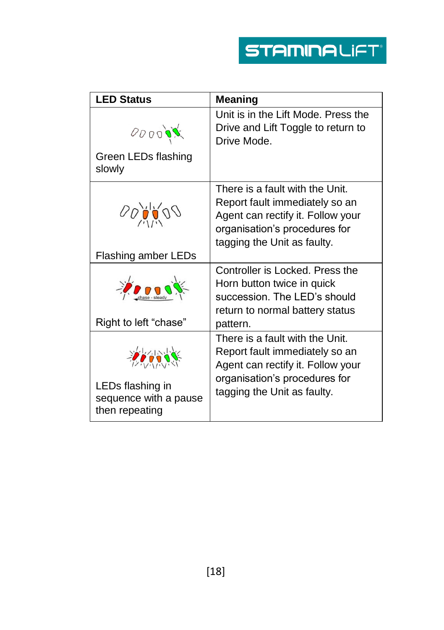| <b>LED Status</b>             | <b>Meaning</b>                      |
|-------------------------------|-------------------------------------|
|                               | Unit is in the Lift Mode. Press the |
| 000000                        | Drive and Lift Toggle to return to  |
|                               | Drive Mode.                         |
| Green LEDs flashing<br>slowly |                                     |
|                               | There is a fault with the Unit.     |
|                               | Report fault immediately so an      |
| 000000                        | Agent can rectify it. Follow your   |
|                               | organisation's procedures for       |
|                               | tagging the Unit as faulty.         |
| <b>Flashing amber LEDs</b>    |                                     |
|                               | Controller is Locked. Press the     |
|                               | Horn button twice in quick          |
|                               | succession. The LED's should        |
|                               | return to normal battery status     |
| Right to left "chase"         | pattern.                            |
|                               | There is a fault with the Unit.     |
| 省合                            | Report fault immediately so an      |
|                               | Agent can rectify it. Follow your   |
| LEDs flashing in              | organisation's procedures for       |
| sequence with a pause         | tagging the Unit as faulty.         |
| then repeating                |                                     |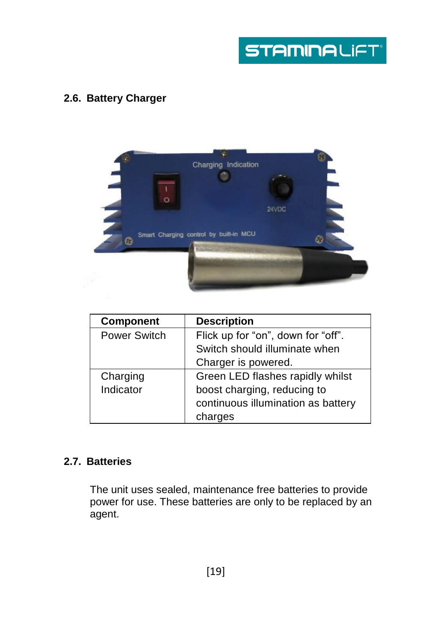# <span id="page-18-0"></span>**2.6. Battery Charger**



| <b>Component</b> | <b>Description</b>                 |
|------------------|------------------------------------|
| Power Switch     | Flick up for "on", down for "off". |
|                  | Switch should illuminate when      |
|                  | Charger is powered.                |
| Charging         | Green LED flashes rapidly whilst   |
| Indicator        | boost charging, reducing to        |
|                  | continuous illumination as battery |
|                  | charges                            |

# <span id="page-18-1"></span>**2.7. Batteries**

The unit uses sealed, maintenance free batteries to provide power for use. These batteries are only to be replaced by an agent.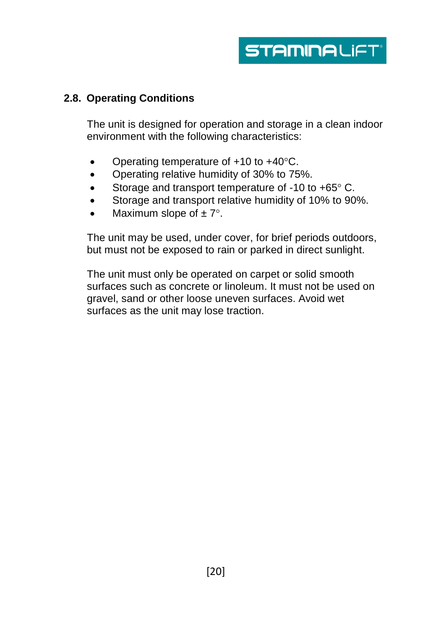

#### <span id="page-19-0"></span>**2.8. Operating Conditions**

The unit is designed for operation and storage in a clean indoor environment with the following characteristics:

- Operating temperature of  $+10$  to  $+40^{\circ}$ C.
- Operating relative humidity of 30% to 75%.
- Storage and transport temperature of -10 to  $+65^{\circ}$  C.
- Storage and transport relative humidity of 10% to 90%.
- Maximum slope of  $\pm 7^{\circ}$ .

The unit may be used, under cover, for brief periods outdoors, but must not be exposed to rain or parked in direct sunlight.

The unit must only be operated on carpet or solid smooth surfaces such as concrete or linoleum. It must not be used on gravel, sand or other loose uneven surfaces. Avoid wet surfaces as the unit may lose traction.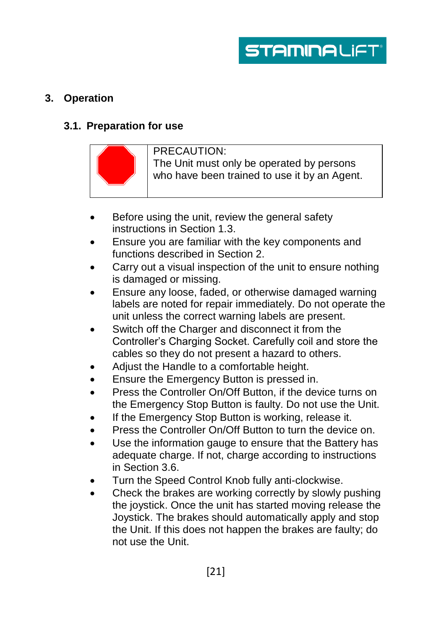

# <span id="page-20-0"></span>**3. Operation**

#### <span id="page-20-1"></span>**3.1. Preparation for use**



#### PRECAUTION:

The Unit must only be operated by persons who have been trained to use it by an Agent.

- Before using the unit, review the general safety instructions in Section 1.3.
- Ensure you are familiar with the key components and functions described in Section 2.
- Carry out a visual inspection of the unit to ensure nothing is damaged or missing.
- Ensure any loose, faded, or otherwise damaged warning labels are noted for repair immediately. Do not operate the unit unless the correct warning labels are present.
- Switch off the Charger and disconnect it from the Controller's Charging Socket. Carefully coil and store the cables so they do not present a hazard to others.
- Adjust the Handle to a comfortable height.
- Ensure the Emergency Button is pressed in.
- Press the Controller On/Off Button, if the device turns on the Emergency Stop Button is faulty. Do not use the Unit.
- If the Emergency Stop Button is working, release it.
- Press the Controller On/Off Button to turn the device on.
- Use the information gauge to ensure that the Battery has adequate charge. If not, charge according to instructions in Section 3.6.
- Turn the Speed Control Knob fully anti-clockwise.
- Check the brakes are working correctly by slowly pushing the joystick. Once the unit has started moving release the Joystick. The brakes should automatically apply and stop the Unit. If this does not happen the brakes are faulty; do not use the Unit.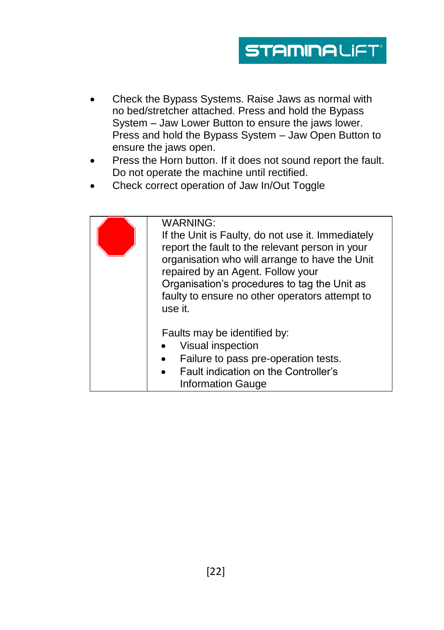- Check the Bypass Systems. Raise Jaws as normal with no bed/stretcher attached. Press and hold the Bypass System – Jaw Lower Button to ensure the jaws lower. Press and hold the Bypass System – Jaw Open Button to ensure the jaws open.
- Press the Horn button. If it does not sound report the fault. Do not operate the machine until rectified.
- Check correct operation of Jaw In/Out Toggle

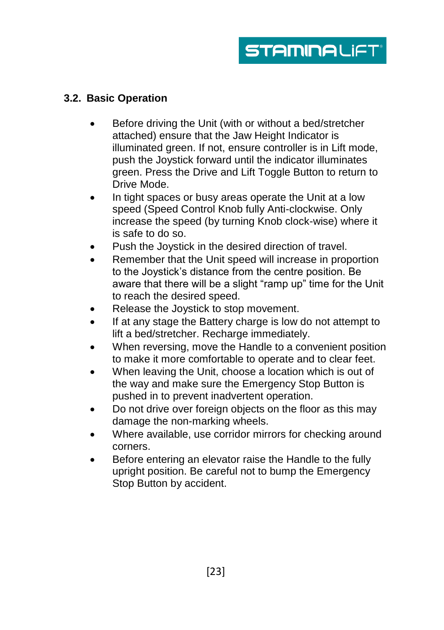# <span id="page-22-0"></span>**3.2. Basic Operation**

- Before driving the Unit (with or without a bed/stretcher attached) ensure that the Jaw Height Indicator is illuminated green. If not, ensure controller is in Lift mode, push the Joystick forward until the indicator illuminates green. Press the Drive and Lift Toggle Button to return to Drive Mode.
- In tight spaces or busy areas operate the Unit at a low speed (Speed Control Knob fully Anti-clockwise. Only increase the speed (by turning Knob clock-wise) where it is safe to do so.
- Push the Joystick in the desired direction of travel.
- Remember that the Unit speed will increase in proportion to the Joystick's distance from the centre position. Be aware that there will be a slight "ramp up" time for the Unit to reach the desired speed.
- Release the Joystick to stop movement.
- If at any stage the Battery charge is low do not attempt to lift a bed/stretcher. Recharge immediately.
- When reversing, move the Handle to a convenient position to make it more comfortable to operate and to clear feet.
- When leaving the Unit, choose a location which is out of the way and make sure the Emergency Stop Button is pushed in to prevent inadvertent operation.
- Do not drive over foreign objects on the floor as this may damage the non-marking wheels.
- Where available, use corridor mirrors for checking around corners.
- Before entering an elevator raise the Handle to the fully upright position. Be careful not to bump the Emergency Stop Button by accident.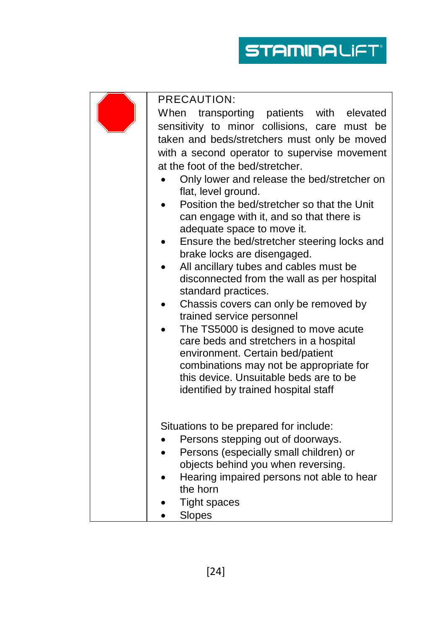**STAMINALIFT** 

| PRECAUTION: |                                                                                                                                                                                                                                                                                                                                                                                                                                                                                                                                                                                                                                                                                                                                                                                                                                                                                                                                                     |  |
|-------------|-----------------------------------------------------------------------------------------------------------------------------------------------------------------------------------------------------------------------------------------------------------------------------------------------------------------------------------------------------------------------------------------------------------------------------------------------------------------------------------------------------------------------------------------------------------------------------------------------------------------------------------------------------------------------------------------------------------------------------------------------------------------------------------------------------------------------------------------------------------------------------------------------------------------------------------------------------|--|
|             | When transporting patients with elevated<br>sensitivity to minor collisions, care must be<br>taken and beds/stretchers must only be moved<br>with a second operator to supervise movement<br>at the foot of the bed/stretcher.<br>Only lower and release the bed/stretcher on<br>flat, level ground.<br>Position the bed/stretcher so that the Unit<br>can engage with it, and so that there is<br>adequate space to move it.<br>Ensure the bed/stretcher steering locks and<br>brake locks are disengaged.<br>All ancillary tubes and cables must be<br>disconnected from the wall as per hospital<br>standard practices.<br>Chassis covers can only be removed by<br>trained service personnel<br>The TS5000 is designed to move acute<br>care beds and stretchers in a hospital<br>environment. Certain bed/patient<br>combinations may not be appropriate for<br>this device. Unsuitable beds are to be<br>identified by trained hospital staff |  |
|             | Situations to be prepared for include:<br>Persons stepping out of doorways.<br>Persons (especially small children) or<br>$\bullet$<br>objects behind you when reversing.<br>Hearing impaired persons not able to hear<br>the horn<br><b>Tight spaces</b><br>Slopes                                                                                                                                                                                                                                                                                                                                                                                                                                                                                                                                                                                                                                                                                  |  |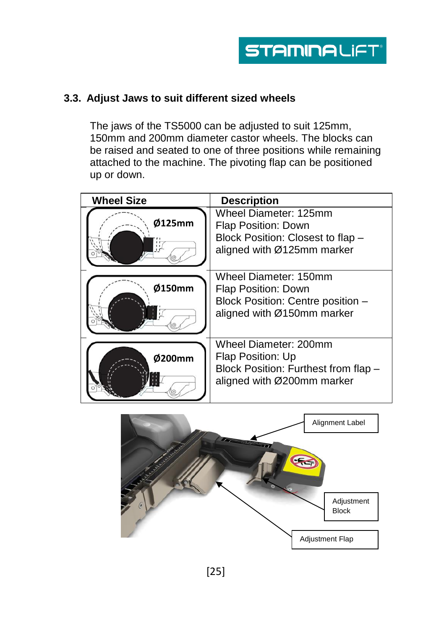# <span id="page-24-0"></span>**3.3. Adjust Jaws to suit different sized wheels**

The jaws of the TS5000 can be adjusted to suit 125mm, 150mm and 200mm diameter castor wheels. The blocks can be raised and seated to one of three positions while remaining attached to the machine. The pivoting flap can be positioned up or down.

| <b>Wheel Size</b> | <b>Description</b>                                                                                               |
|-------------------|------------------------------------------------------------------------------------------------------------------|
| Ø125mm<br>12      | Wheel Diameter: 125mm<br>Flap Position: Down<br>Block Position: Closest to flap -<br>aligned with Ø125mm marker  |
| Ø150mm            | Wheel Diameter: 150mm<br>Flap Position: Down<br>Block Position: Centre position -<br>aligned with Ø150mm marker  |
| Ø200mm            | Wheel Diameter: 200mm<br>Flap Position: Up<br>Block Position: Furthest from flap -<br>aligned with Ø200mm marker |

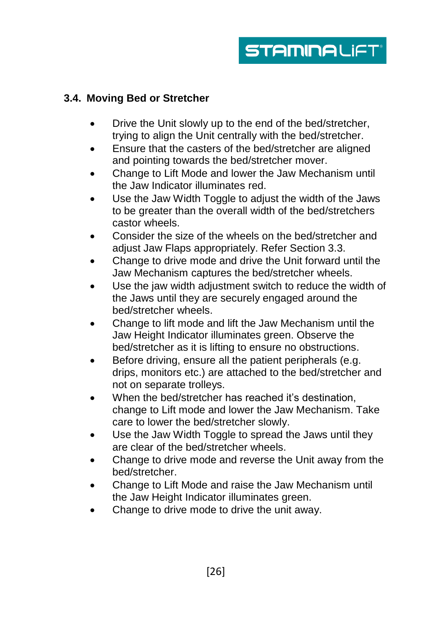# <span id="page-25-0"></span>**3.4. Moving Bed or Stretcher**

- Drive the Unit slowly up to the end of the bed/stretcher, trying to align the Unit centrally with the bed/stretcher.
- Ensure that the casters of the bed/stretcher are aligned and pointing towards the bed/stretcher mover.
- Change to Lift Mode and lower the Jaw Mechanism until the Jaw Indicator illuminates red.
- Use the Jaw Width Toggle to adjust the width of the Jaws to be greater than the overall width of the bed/stretchers castor wheels.
- Consider the size of the wheels on the bed/stretcher and adjust Jaw Flaps appropriately. Refer Section 3.3.
- Change to drive mode and drive the Unit forward until the Jaw Mechanism captures the bed/stretcher wheels.
- Use the jaw width adjustment switch to reduce the width of the Jaws until they are securely engaged around the bed/stretcher wheels.
- Change to lift mode and lift the Jaw Mechanism until the Jaw Height Indicator illuminates green. Observe the bed/stretcher as it is lifting to ensure no obstructions.
- **Before driving, ensure all the patient peripherals (e.g.** drips, monitors etc.) are attached to the bed/stretcher and not on separate trolleys.
- When the bed/stretcher has reached it's destination, change to Lift mode and lower the Jaw Mechanism. Take care to lower the bed/stretcher slowly.
- Use the Jaw Width Toggle to spread the Jaws until they are clear of the bed/stretcher wheels.
- Change to drive mode and reverse the Unit away from the bed/stretcher.
- Change to Lift Mode and raise the Jaw Mechanism until the Jaw Height Indicator illuminates green.
- Change to drive mode to drive the unit away.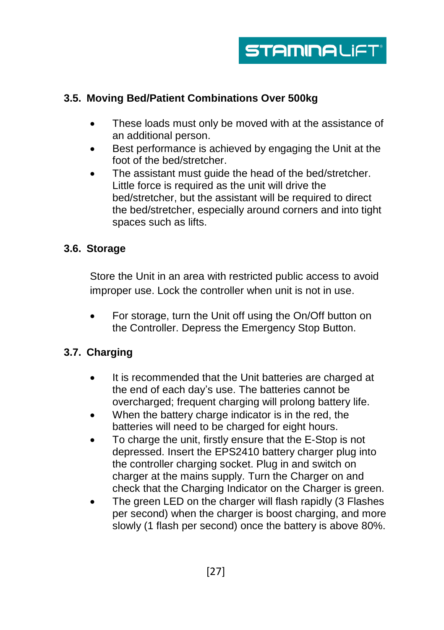

#### <span id="page-26-0"></span>**3.5. Moving Bed/Patient Combinations Over 500kg**

- These loads must only be moved with at the assistance of an additional person.
- Best performance is achieved by engaging the Unit at the foot of the bed/stretcher.
- The assistant must guide the head of the bed/stretcher. Little force is required as the unit will drive the bed/stretcher, but the assistant will be required to direct the bed/stretcher, especially around corners and into tight spaces such as lifts.

#### <span id="page-26-1"></span>**3.6. Storage**

Store the Unit in an area with restricted public access to avoid improper use. Lock the controller when unit is not in use.

 For storage, turn the Unit off using the On/Off button on the Controller. Depress the Emergency Stop Button.

# <span id="page-26-2"></span>**3.7. Charging**

- It is recommended that the Unit batteries are charged at the end of each day's use. The batteries cannot be overcharged; frequent charging will prolong battery life.
- When the battery charge indicator is in the red, the batteries will need to be charged for eight hours.
- To charge the unit, firstly ensure that the E-Stop is not depressed. Insert the EPS2410 battery charger plug into the controller charging socket. Plug in and switch on charger at the mains supply. Turn the Charger on and check that the Charging Indicator on the Charger is green.
- The green LED on the charger will flash rapidly (3 Flashes per second) when the charger is boost charging, and more slowly (1 flash per second) once the battery is above 80%.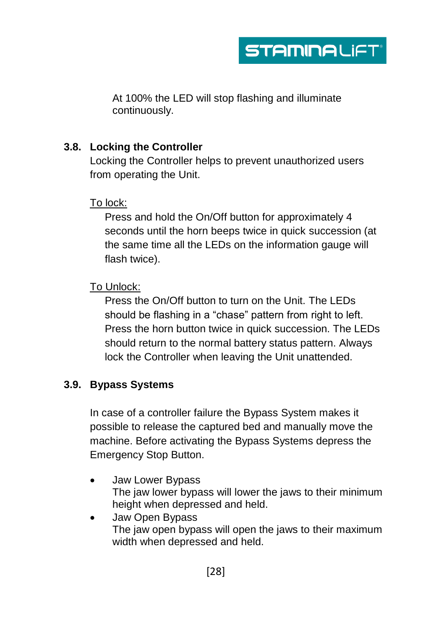

At 100% the LED will stop flashing and illuminate continuously.

#### <span id="page-27-0"></span>**3.8. Locking the Controller**

Locking the Controller helps to prevent unauthorized users from operating the Unit.

#### To lock:

Press and hold the On/Off button for approximately 4 seconds until the horn beeps twice in quick succession (at the same time all the LEDs on the information gauge will flash twice).

#### To Unlock:

Press the On/Off button to turn on the Unit. The LEDs should be flashing in a "chase" pattern from right to left. Press the horn button twice in quick succession. The LEDs should return to the normal battery status pattern. Always lock the Controller when leaving the Unit unattended.

# <span id="page-27-1"></span>**3.9. Bypass Systems**

In case of a controller failure the Bypass System makes it possible to release the captured bed and manually move the machine. Before activating the Bypass Systems depress the Emergency Stop Button.

- Jaw Lower Bypass The jaw lower bypass will lower the jaws to their minimum height when depressed and held.
- Jaw Open Bypass The jaw open bypass will open the jaws to their maximum width when depressed and held.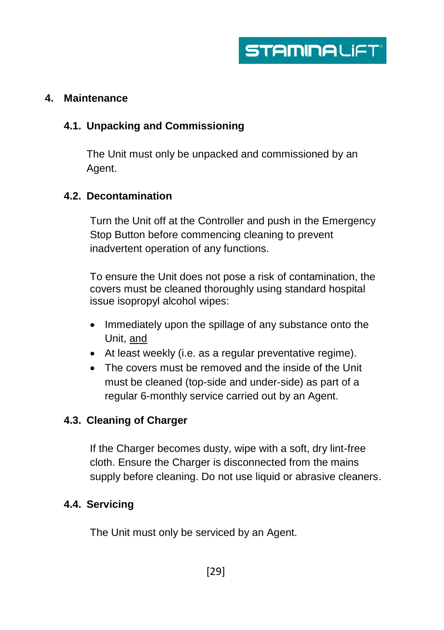#### <span id="page-28-0"></span>**4. Maintenance**

# <span id="page-28-1"></span>**4.1. Unpacking and Commissioning**

The Unit must only be unpacked and commissioned by an Agent.

# <span id="page-28-2"></span>**4.2. Decontamination**

Turn the Unit off at the Controller and push in the Emergency Stop Button before commencing cleaning to prevent inadvertent operation of any functions.

To ensure the Unit does not pose a risk of contamination, the covers must be cleaned thoroughly using standard hospital issue isopropyl alcohol wipes:

- Immediately upon the spillage of any substance onto the Unit, and
- At least weekly (i.e. as a regular preventative regime).
- The covers must be removed and the inside of the Unit must be cleaned (top-side and under-side) as part of a regular 6-monthly service carried out by an Agent.

# <span id="page-28-3"></span>**4.3. Cleaning of Charger**

If the Charger becomes dusty, wipe with a soft, dry lint-free cloth. Ensure the Charger is disconnected from the mains supply before cleaning. Do not use liquid or abrasive cleaners.

#### <span id="page-28-4"></span>**4.4. Servicing**

The Unit must only be serviced by an Agent.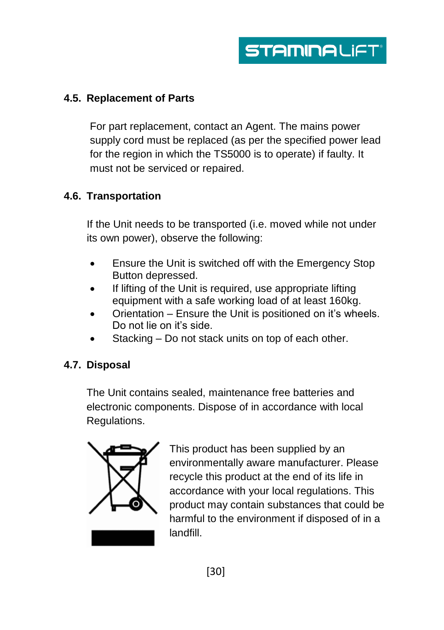# <span id="page-29-0"></span>**4.5. Replacement of Parts**

For part replacement, contact an Agent. The mains power supply cord must be replaced (as per the specified power lead for the region in which the TS5000 is to operate) if faulty. It must not be serviced or repaired.

# <span id="page-29-1"></span>**4.6. Transportation**

If the Unit needs to be transported (i.e. moved while not under its own power), observe the following:

- Ensure the Unit is switched off with the Emergency Stop Button depressed.
- If lifting of the Unit is required, use appropriate lifting equipment with a safe working load of at least 160kg.
- Orientation Ensure the Unit is positioned on it's wheels. Do not lie on it's side.
- Stacking Do not stack units on top of each other.

# <span id="page-29-2"></span>**4.7. Disposal**

The Unit contains sealed, maintenance free batteries and electronic components. Dispose of in accordance with local Regulations.



This product has been supplied by an environmentally aware manufacturer. Please recycle this product at the end of its life in accordance with your local regulations. This product may contain substances that could be harmful to the environment if disposed of in a landfill.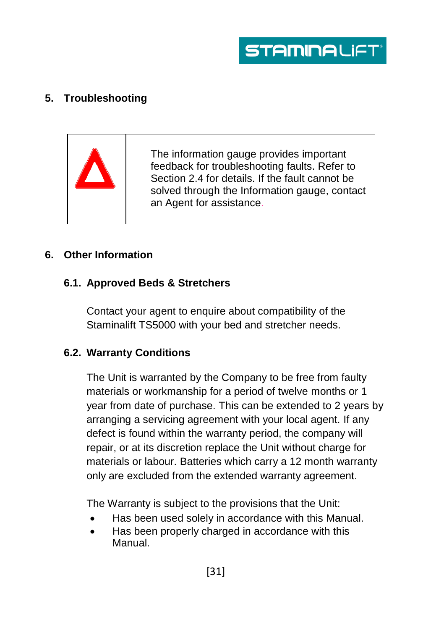

# <span id="page-30-0"></span>**5. Troubleshooting**



The information gauge provides important feedback for troubleshooting faults. Refer to Section 2.4 for details. If the fault cannot be solved through the Information gauge, contact an Agent for assistance.

#### <span id="page-30-1"></span>**6. Other Information**

#### <span id="page-30-2"></span>**6.1. Approved Beds & Stretchers**

Contact your agent to enquire about compatibility of the Staminalift TS5000 with your bed and stretcher needs.

#### <span id="page-30-3"></span>**6.2. Warranty Conditions**

The Unit is warranted by the Company to be free from faulty materials or workmanship for a period of twelve months or 1 year from date of purchase. This can be extended to 2 years by arranging a servicing agreement with your local agent. If any defect is found within the warranty period, the company will repair, or at its discretion replace the Unit without charge for materials or labour. Batteries which carry a 12 month warranty only are excluded from the extended warranty agreement.

The Warranty is subject to the provisions that the Unit:

- Has been used solely in accordance with this Manual.
- Has been properly charged in accordance with this Manual.